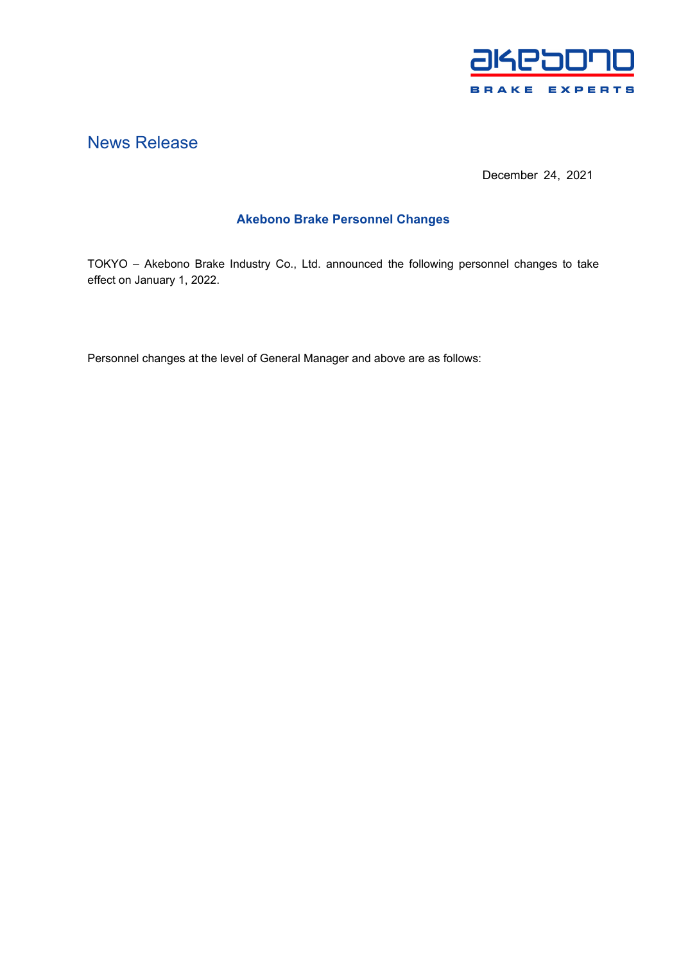

## News Release

December 24, 2021

## **Akebono Brake Personnel Changes**

TOKYO – Akebono Brake Industry Co., Ltd. announced the following personnel changes to take effect on January 1, 2022.

Personnel changes at the level of General Manager and above are as follows: